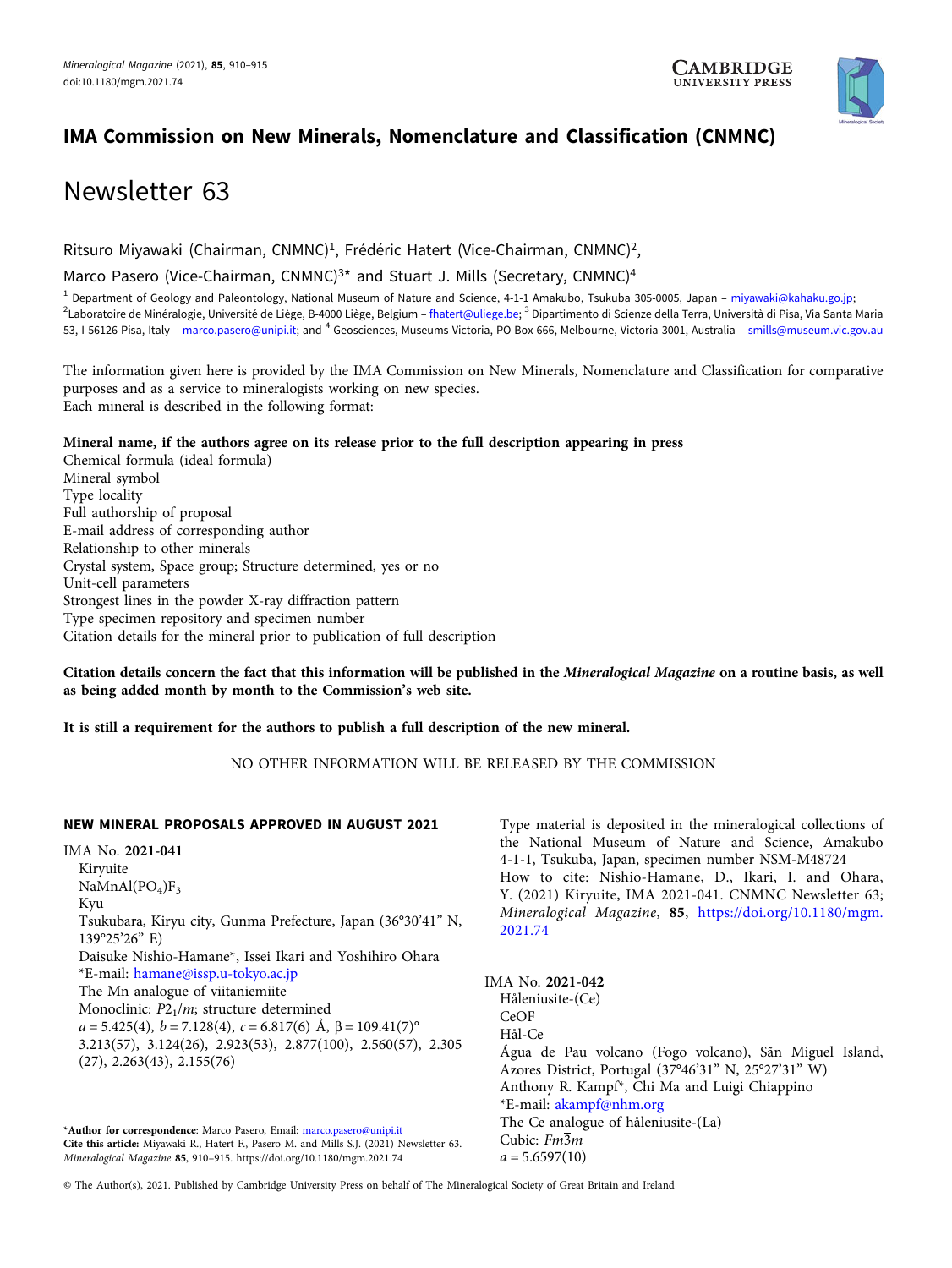

## IMA Commission on New Minerals, Nomenclature and Classification (CNMNC)

# Newsletter 63

Ritsuro Miyawaki (Chairman, CNMNC)<sup>1</sup>, Frédéric Hatert (Vice-Chairman, CNMNC)<sup>2</sup>,

Marco Pasero (Vice-Chairman, CNMNC)<sup>3\*</sup> and Stuart J. Mills (Secretary, CNMNC)<sup>4</sup>

<sup>1</sup> Department of Geology and Paleontology, National Museum of Nature and Science, 4-1-1 Amakubo, Tsukuba 305-0005, Japan – [miyawaki@kahaku.go.jp;](mailto:miyawaki@kahaku.go.jp) <sup>2</sup>Laboratoire de Minéralogie, Université de Liège, B-4000 Liège, Belgium – [fhatert@uliege.be;](mailto:fhatert@uliege.be) <sup>3</sup> Dipartimento di Scienze della Terra, Università di Pisa, Via Santa Maria 53, I-56126 Pisa, Italy – [marco.pasero@unipi.it](mailto:marco.pasero@unipi.it); and <sup>4</sup> Geosciences, Museums Victoria, PO Box 666, Melbourne, Victoria 3001, Australia – [smills@museum.vic.gov.au](mailto:smills@museum.vic.gov.au)

The information given here is provided by the IMA Commission on New Minerals, Nomenclature and Classification for comparative purposes and as a service to mineralogists working on new species. Each mineral is described in the following format:

## Mineral name, if the authors agree on its release prior to the full description appearing in press

Chemical formula (ideal formula) Mineral symbol Type locality Full authorship of proposal E-mail address of corresponding author Relationship to other minerals Crystal system, Space group; Structure determined, yes or no Unit-cell parameters Strongest lines in the powder X-ray diffraction pattern Type specimen repository and specimen number Citation details for the mineral prior to publication of full description

Citation details concern the fact that this information will be published in the Mineralogical Magazine on a routine basis, as well as being added month by month to the Commission's web site.

It is still a requirement for the authors to publish a full description of the new mineral.

NO OTHER INFORMATION WILL BE RELEASED BY THE COMMISSION

## NEW MINERAL PROPOSALS APPROVED IN AUGUST 2021

IMA No. 2021-041 Kiryuite  $NaMnAl(PO<sub>4</sub>)F<sub>3</sub>$ Kyu Tsukubara, Kiryu city, Gunma Prefecture, Japan (36°30'41" N, 139°25'26" E) Daisuke Nishio-Hamane\*, Issei Ikari and Yoshihiro Ohara \*E-mail: [hamane@issp.u-tokyo.ac.jp](mailto:hamane@issp.u-tokyo.ac.jp) The Mn analogue of viitaniemiite Monoclinic:  $P2<sub>1</sub>/m$ ; structure determined  $a = 5.425(4), b = 7.128(4), c = 6.817(6)$  Å,  $\beta = 109.41(7)$ ° 3.213(57), 3.124(26), 2.923(53), 2.877(100), 2.560(57), 2.305 (27), 2.263(43), 2.155(76)

\*Author for correspondence: Marco Pasero, Email: [marco.pasero@unipi.it](mailto:marco.pasero@unipi.it) Cite this article: Miyawaki R., Hatert F., Pasero M. and Mills S.J. (2021) Newsletter 63. Mineralogical Magazine <sup>85</sup>, 910–915.<https://doi.org/10.1180/mgm.2021.74>

Type material is deposited in the mineralogical collections of the National Museum of Nature and Science, Amakubo 4-1-1, Tsukuba, Japan, specimen number NSM-M48724 How to cite: Nishio-Hamane, D., Ikari, I. and Ohara, Y. (2021) Kiryuite, IMA 2021-041. CNMNC Newsletter 63; Mineralogical Magazine, <sup>85</sup>, [https://doi.org/10.1180/mgm.](https://doi.org/10.1180/mgm.2021.74) [2021.74](https://doi.org/10.1180/mgm.2021.74)

| IMA No. 2021-042                                           |
|------------------------------------------------------------|
| Håleniusite-(Ce)                                           |
| CeOF                                                       |
| Hål-Ce                                                     |
| Água de Pau volcano (Fogo volcano), Sãn Miguel Island,     |
| Azores District, Portugal (37°46'31" N, 25°27'31" W)       |
| Anthony R. Kampf <sup>*</sup> , Chi Ma and Luigi Chiappino |
| *E-mail: akampf@nhm.org                                    |
| The Ce analogue of håleniusite-(La)                        |
| Cubic: Fm3m                                                |
| $a = 5.6597(10)$                                           |
|                                                            |

© The Author(s), 2021. Published by Cambridge University Press on behalf of The Mineralogical Society of Great Britain and Ireland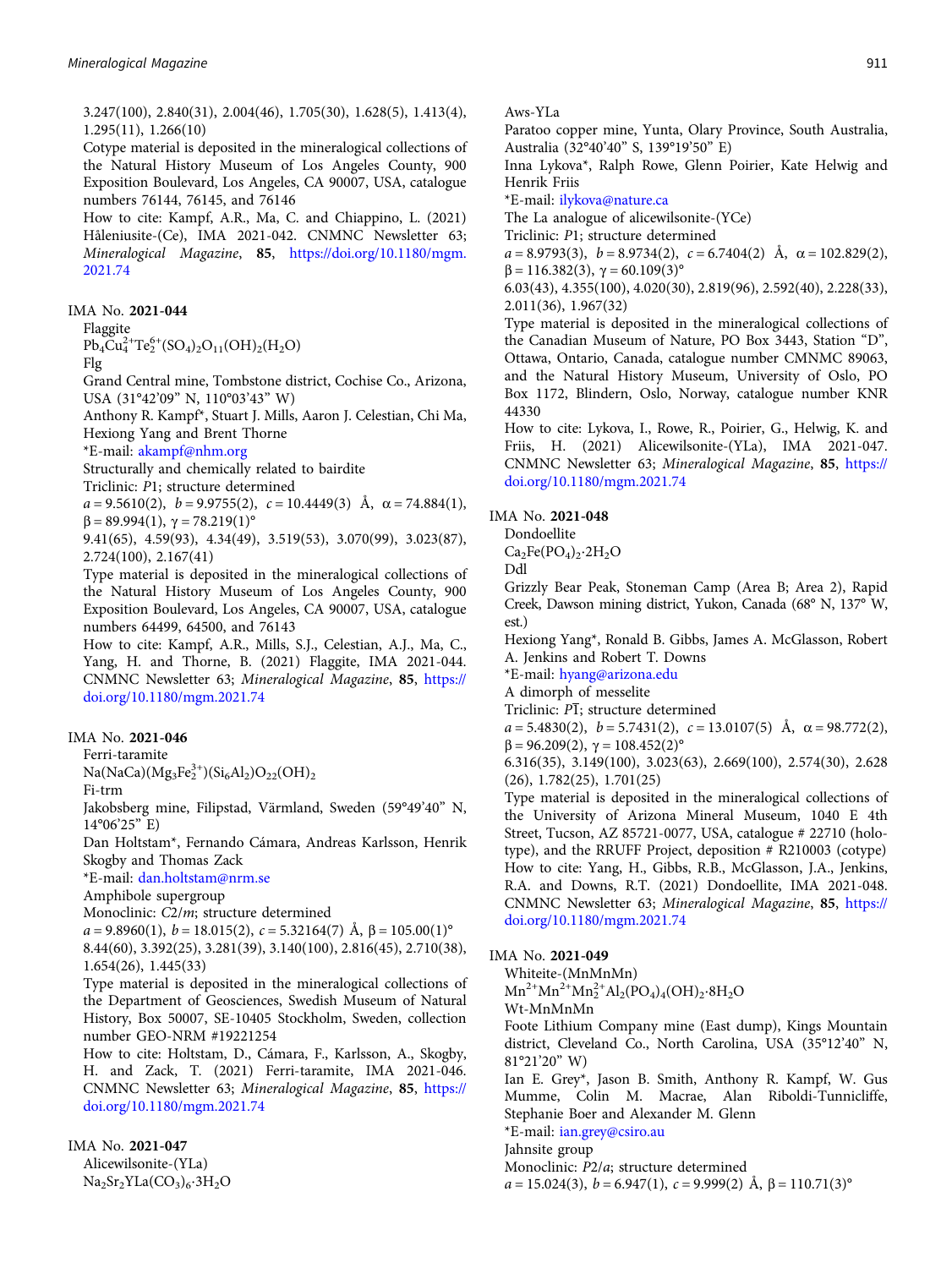Aws-YLa

Paratoo copper mine, Yunta, Olary Province, South Australia, Australia (32°40'40" S, 139°19'50" E)

Inna Lykova\*, Ralph Rowe, Glenn Poirier, Kate Helwig and Henrik Friis

\*E-mail: [ilykova@nature.ca](mailto:ilykova@nature.ca)

The La analogue of alicewilsonite-(YCe)

Triclinic: P1; structure determined

 $a = 8.9793(3)$ ,  $b = 8.9734(2)$ ,  $c = 6.7404(2)$  Å,  $\alpha = 102.829(2)$ ,  $β = 116.382(3), γ = 60.109(3)°$ 

6.03(43), 4.355(100), 4.020(30), 2.819(96), 2.592(40), 2.228(33), 2.011(36), 1.967(32)

Type material is deposited in the mineralogical collections of the Canadian Museum of Nature, PO Box 3443, Station "D", Ottawa, Ontario, Canada, catalogue number CMNMC 89063, and the Natural History Museum, University of Oslo, PO Box 1172, Blindern, Oslo, Norway, catalogue number KNR 44330

How to cite: Lykova, I., Rowe, R., Poirier, G., Helwig, K. and Friis, H. (2021) Alicewilsonite-(YLa), IMA 2021-047. CNMNC Newsletter 63; Mineralogical Magazine, <sup>85</sup>, [https://](https://doi.org/10.1180/mgm.2021.74) [doi.org/10.1180/mgm.2021.74](https://doi.org/10.1180/mgm.2021.74)

#### IMA No. 2021-048

Dondoellite

 $Ca<sub>2</sub>Fe(PO<sub>4</sub>)<sub>2</sub>·2H<sub>2</sub>O$ 

Ddl

Grizzly Bear Peak, Stoneman Camp (Area B; Area 2), Rapid Creek, Dawson mining district, Yukon, Canada (68° N, 137° W, est.)

Hexiong Yang\*, Ronald B. Gibbs, James A. McGlasson, Robert A. Jenkins and Robert T. Downs

\*E-mail: [hyang@arizona.edu](mailto:hyang@arizona.edu)

A dimorph of messelite

Triclinic:  $P\overline{1}$ ; structure determined

 $a = 5.4830(2), b = 5.7431(2), c = 13.0107(5)$  Å,  $\alpha = 98.772(2),$  $β = 96.209(2), γ = 108.452(2)°$ 

6.316(35), 3.149(100), 3.023(63), 2.669(100), 2.574(30), 2.628 (26), 1.782(25), 1.701(25)

Type material is deposited in the mineralogical collections of the University of Arizona Mineral Museum, 1040 E 4th Street, Tucson, AZ 85721-0077, USA, catalogue # 22710 (holotype), and the RRUFF Project, deposition # R210003 (cotype) How to cite: Yang, H., Gibbs, R.B., McGlasson, J.A., Jenkins, R.A. and Downs, R.T. (2021) Dondoellite, IMA 2021-048. CNMNC Newsletter 63; Mineralogical Magazine, <sup>85</sup>, [https://](https://doi.org/10.1180/mgm.2021.74) [doi.org/10.1180/mgm.2021.74](https://doi.org/10.1180/mgm.2021.74)

IMA No. 2021-049

Whiteite-(MnMnMn)

 $Mn^{2+}Mn^{2+}Mn_2^{2+}Al_2(PO_4)_4(OH)_2·8H_2O$ 

Wt-MnMnMn

Foote Lithium Company mine (East dump), Kings Mountain district, Cleveland Co., North Carolina, USA (35°12'40" N, 81°21'20" W)

Ian E. Grey\*, Jason B. Smith, Anthony R. Kampf, W. Gus Mumme, Colin M. Macrae, Alan Riboldi-Tunnicliffe, Stephanie Boer and Alexander M. Glenn \*E-mail: [ian.grey@csiro.au](mailto:ian.grey@csiro.au)

Jahnsite group

Monoclinic: P2/a; structure determined

 $a = 15.024(3), b = 6.947(1), c = 9.999(2)$  Å,  $\beta = 110.71(3)$ °

3.247(100), 2.840(31), 2.004(46), 1.705(30), 1.628(5), 1.413(4), 1.295(11), 1.266(10)

Cotype material is deposited in the mineralogical collections of the Natural History Museum of Los Angeles County, 900 Exposition Boulevard, Los Angeles, CA 90007, USA, catalogue numbers 76144, 76145, and 76146

How to cite: Kampf, A.R., Ma, C. and Chiappino, L. (2021) Håleniusite-(Ce), IMA 2021-042. CNMNC Newsletter 63; Mineralogical Magazine, <sup>85</sup>, [https://doi.org/10.1180/mgm.](https://doi.org/10.1180/mgm.2021.74) [2021.74](https://doi.org/10.1180/mgm.2021.74)

#### IMA No. 2021-044

#### Flaggite

 $Pb_4Cu_4^{2+}Te_2^{6+}(SO_4)_2O_{11}(OH)_2(H_2O)$ 

Flg

Grand Central mine, Tombstone district, Cochise Co., Arizona, USA (31°42'09" N, 110°03'43" W)

Anthony R. Kampf\*, Stuart J. Mills, Aaron J. Celestian, Chi Ma, Hexiong Yang and Brent Thorne

\*E-mail: [akampf@nhm.org](mailto:akampf@nhm.org)

Structurally and chemically related to bairdite

Triclinic: P1; structure determined

 $a = 9.5610(2)$ ,  $b = 9.9755(2)$ ,  $c = 10.4449(3)$  Å,  $\alpha = 74.884(1)$ ,  $β = 89.994(1), γ = 78.219(1)°$ 

9.41(65), 4.59(93), 4.34(49), 3.519(53), 3.070(99), 3.023(87), 2.724(100), 2.167(41)

Type material is deposited in the mineralogical collections of the Natural History Museum of Los Angeles County, 900 Exposition Boulevard, Los Angeles, CA 90007, USA, catalogue numbers 64499, 64500, and 76143

How to cite: Kampf, A.R., Mills, S.J., Celestian, A.J., Ma, C., Yang, H. and Thorne, B. (2021) Flaggite, IMA 2021-044. CNMNC Newsletter 63; Mineralogical Magazine, <sup>85</sup>, [https://](https://doi.org/10.1180/mgm.2021.74) [doi.org/10.1180/mgm.2021.74](https://doi.org/10.1180/mgm.2021.74)

## IMA No. 2021-046

Ferri-taramite

 $Na(NaCa)(Mg_3Fe_2^{3+})(Si_6Al_2)O_{22}(OH)_2$ 

Fi-trm

Jakobsberg mine, Filipstad, Värmland, Sweden (59°49'40" N, 14°06'25" E)

Dan Holtstam\*, Fernando Cámara, Andreas Karlsson, Henrik Skogby and Thomas Zack

\*E-mail: [dan.holtstam@nrm.se](mailto:dan.holtstam@nrm.se)

Amphibole supergroup

Monoclinic: C2/m; structure determined

 $a = 9.8960(1)$ ,  $b = 18.015(2)$ ,  $c = 5.32164(7)$  Å,  $\beta = 105.00(1)$ °

8.44(60), 3.392(25), 3.281(39), 3.140(100), 2.816(45), 2.710(38), 1.654(26), 1.445(33)

Type material is deposited in the mineralogical collections of the Department of Geosciences, Swedish Museum of Natural History, Box 50007, SE-10405 Stockholm, Sweden, collection number GEO-NRM #19221254

How to cite: Holtstam, D., Cámara, F., Karlsson, A., Skogby, H. and Zack, T. (2021) Ferri-taramite, IMA 2021-046. CNMNC Newsletter 63; Mineralogical Magazine, <sup>85</sup>, [https://](https://doi.org/10.1180/mgm.2021.74) [doi.org/10.1180/mgm.2021.74](https://doi.org/10.1180/mgm.2021.74)

IMA No. 2021-047 Alicewilsonite-(YLa) Na<sub>2</sub>Sr<sub>2</sub>YLa(CO<sub>3</sub>)<sub>6</sub>⋅3H<sub>2</sub>O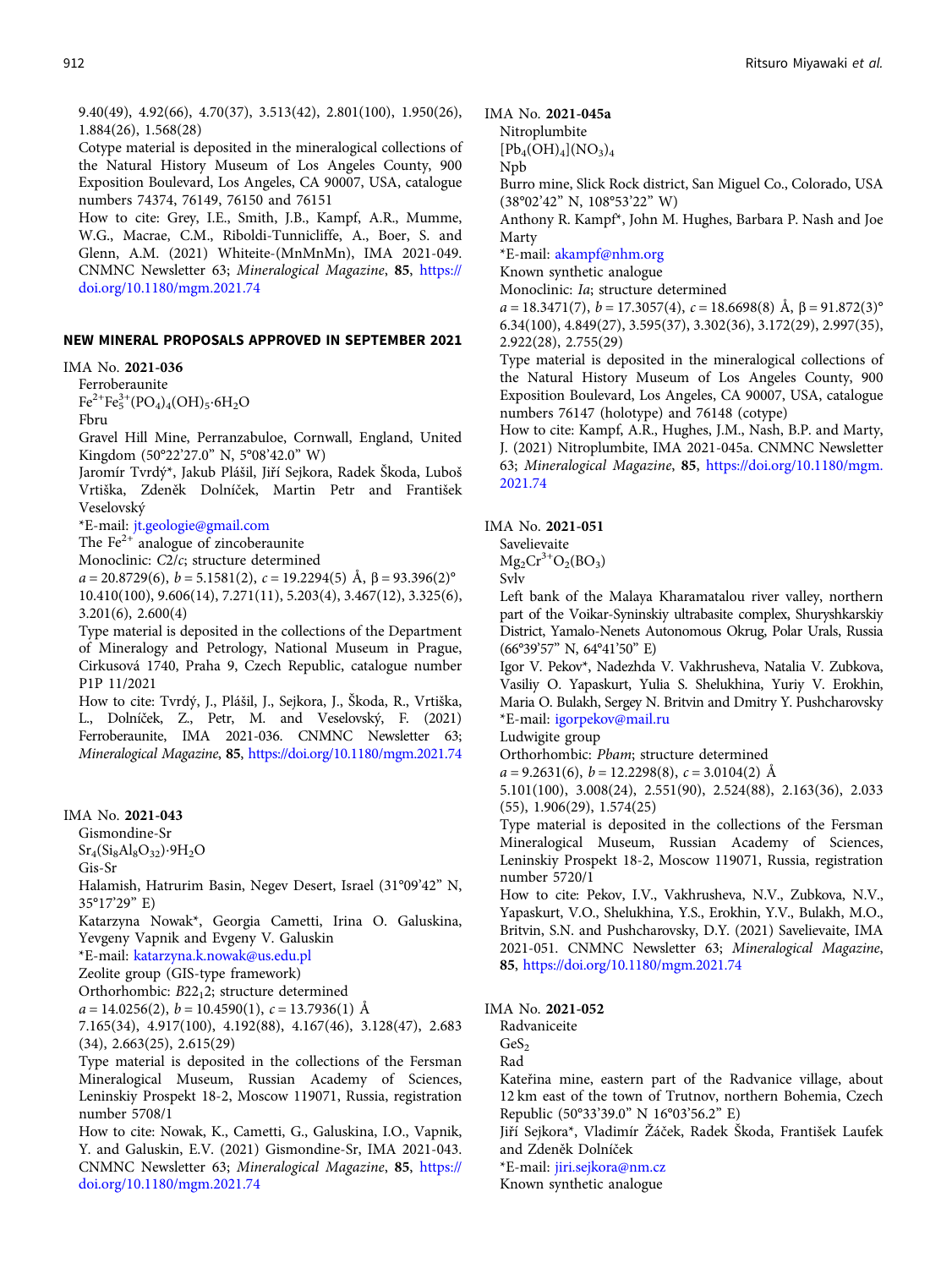9.40(49), 4.92(66), 4.70(37), 3.513(42), 2.801(100), 1.950(26), 1.884(26), 1.568(28)

Cotype material is deposited in the mineralogical collections of the Natural History Museum of Los Angeles County, 900 Exposition Boulevard, Los Angeles, CA 90007, USA, catalogue numbers 74374, 76149, 76150 and 76151

How to cite: Grey, I.E., Smith, J.B., Kampf, A.R., Mumme, W.G., Macrae, C.M., Riboldi-Tunnicliffe, A., Boer, S. and Glenn, A.M. (2021) Whiteite-(MnMnMn), IMA 2021-049. CNMNC Newsletter 63; Mineralogical Magazine, <sup>85</sup>, [https://](https://doi.org/10.1180/mgm.2021.74) [doi.org/10.1180/mgm.2021.74](https://doi.org/10.1180/mgm.2021.74)

#### NEW MINERAL PROPOSALS APPROVED IN SEPTEMBER 2021

IMA No. 2021-036

Ferroberaunite

 $Fe^{2+}Fe_5^{3+}(PO_4)_4(OH)_5·6H_2O$ 

Fbru

Gravel Hill Mine, Perranzabuloe, Cornwall, England, United Kingdom (50°22'27.0" N, 5°08'42.0" W)

Jaromír Tvrdý\*, Jakub Plášil, Jiří Sejkora, Radek Škoda, Luboš Vrtiška, Zdeněk Dolníček, Martin Petr and František Veselovský

\*E-mail: [jt.geologie@gmail.com](mailto:jt.geologie@gmail.com)

The  $Fe<sup>2+</sup>$  analogue of zincoberaunite

Monoclinic: C2/c; structure determined

 $a = 20.8729(6)$ ,  $b = 5.1581(2)$ ,  $c = 19.2294(5)$  Å,  $\beta = 93.396(2)$ ° 10.410(100), 9.606(14), 7.271(11), 5.203(4), 3.467(12), 3.325(6), 3.201(6), 2.600(4)

Type material is deposited in the collections of the Department of Mineralogy and Petrology, National Museum in Prague, Cirkusová 1740, Praha 9, Czech Republic, catalogue number P1P 11/2021

How to cite: Tvrdý, J., Plášil, J., Sejkora, J., Škoda, R., Vrtiška, L., Dolníček, Z., Petr, M. and Veselovský, F. (2021) Ferroberaunite, IMA 2021-036. CNMNC Newsletter 63; Mineralogical Magazine, <sup>85</sup>, <https://doi.org/10.1180/mgm.2021.74>

## IMA No. 2021-043

Gismondine-Sr

 $Sr_4(Si_8Al_8O_{32})·9H_2O$ 

Gis-Sr

Halamish, Hatrurim Basin, Negev Desert, Israel (31°09'42" N, 35°17'29" E)

Katarzyna Nowak\*, Georgia Cametti, Irina O. Galuskina, Yevgeny Vapnik and Evgeny V. Galuskin

\*E-mail: [katarzyna.k.nowak@us.edu.pl](mailto:katarzyna.k.nowak@us.edu.pl)

Zeolite group (GIS-type framework)

Orthorhombic: B22<sub>1</sub>2; structure determined

 $a = 14.0256(2), b = 10.4590(1), c = 13.7936(1)$  Å

7.165(34), 4.917(100), 4.192(88), 4.167(46), 3.128(47), 2.683 (34), 2.663(25), 2.615(29)

Type material is deposited in the collections of the Fersman Mineralogical Museum, Russian Academy of Sciences, Leninskiy Prospekt 18-2, Moscow 119071, Russia, registration number 5708/1

How to cite: Nowak, K., Cametti, G., Galuskina, I.O., Vapnik, Y. and Galuskin, E.V. (2021) Gismondine-Sr, IMA 2021-043. CNMNC Newsletter 63; Mineralogical Magazine, <sup>85</sup>, [https://](https://doi.org/10.1180/mgm.2021.74) [doi.org/10.1180/mgm.2021.74](https://doi.org/10.1180/mgm.2021.74)

### IMA No. 2021-045a

Nitroplumbite  $[Pb_4(OH)_4](NO_3)_4$ 

Npb

Burro mine, Slick Rock district, San Miguel Co., Colorado, USA (38°02'42" N, 108°53'22" W)

Anthony R. Kampf\*, John M. Hughes, Barbara P. Nash and Joe Marty

\*E-mail: [akampf@nhm.org](mailto:akampf@nhm.org)

Known synthetic analogue

Monoclinic: Ia; structure determined

 $a = 18.3471(7)$ ,  $b = 17.3057(4)$ ,  $c = 18.6698(8)$  Å,  $\beta = 91.872(3)$ ° 6.34(100), 4.849(27), 3.595(37), 3.302(36), 3.172(29), 2.997(35), 2.922(28), 2.755(29)

Type material is deposited in the mineralogical collections of the Natural History Museum of Los Angeles County, 900 Exposition Boulevard, Los Angeles, CA 90007, USA, catalogue numbers 76147 (holotype) and 76148 (cotype)

How to cite: Kampf, A.R., Hughes, J.M., Nash, B.P. and Marty, J. (2021) Nitroplumbite, IMA 2021-045a. CNMNC Newsletter 63; Mineralogical Magazine, <sup>85</sup>, [https://doi.org/10.1180/mgm.](https://doi.org/10.1180/mgm.2021.74) [2021.74](https://doi.org/10.1180/mgm.2021.74)

IMA No. 2021-051

Savelievaite  $Mg_2Cr^{3+}O_2(BO_3)$ 

Svlv

Left bank of the Malaya Kharamatalou river valley, northern part of the Voikar-Syninskiy ultrabasite complex, Shuryshkarskiy District, Yamalo-Nenets Autonomous Okrug, Polar Urals, Russia (66°39'57" N, 64°41'50" E)

Igor V. Pekov\*, Nadezhda V. Vakhrusheva, Natalia V. Zubkova, Vasiliy O. Yapaskurt, Yulia S. Shelukhina, Yuriy V. Erokhin, Maria O. Bulakh, Sergey N. Britvin and Dmitry Y. Pushcharovsky \*E-mail: [igorpekov@mail.ru](mailto:igorpekov@mail.ru)

Ludwigite group

Orthorhombic: Pbam; structure determined

 $a = 9.2631(6), b = 12.2298(8), c = 3.0104(2)$  Å

5.101(100), 3.008(24), 2.551(90), 2.524(88), 2.163(36), 2.033 (55), 1.906(29), 1.574(25)

Type material is deposited in the collections of the Fersman Mineralogical Museum, Russian Academy of Sciences, Leninskiy Prospekt 18-2, Moscow 119071, Russia, registration number 5720/1

How to cite: Pekov, I.V., Vakhrusheva, N.V., Zubkova, N.V., Yapaskurt, V.O., Shelukhina, Y.S., Erokhin, Y.V., Bulakh, M.O., Britvin, S.N. and Pushcharovsky, D.Y. (2021) Savelievaite, IMA 2021-051. CNMNC Newsletter 63; Mineralogical Magazine, 85, <https://doi.org/10.1180/mgm.2021.74>

IMA No. 2021-052

Radvaniceite

 $GeS<sub>2</sub>$ 

Rad

Kateřina mine, eastern part of the Radvanice village, about 12 km east of the town of Trutnov, northern Bohemia, Czech Republic (50°33'39.0" N 16°03'56.2" E)

Jiří Sejkora\*, Vladimír Žáček, Radek Škoda, František Laufek and Zdeněk Dolníček

\*E-mail: [jiri.sejkora@nm.cz](mailto:jiri.sejkora@nm.cz)

Known synthetic analogue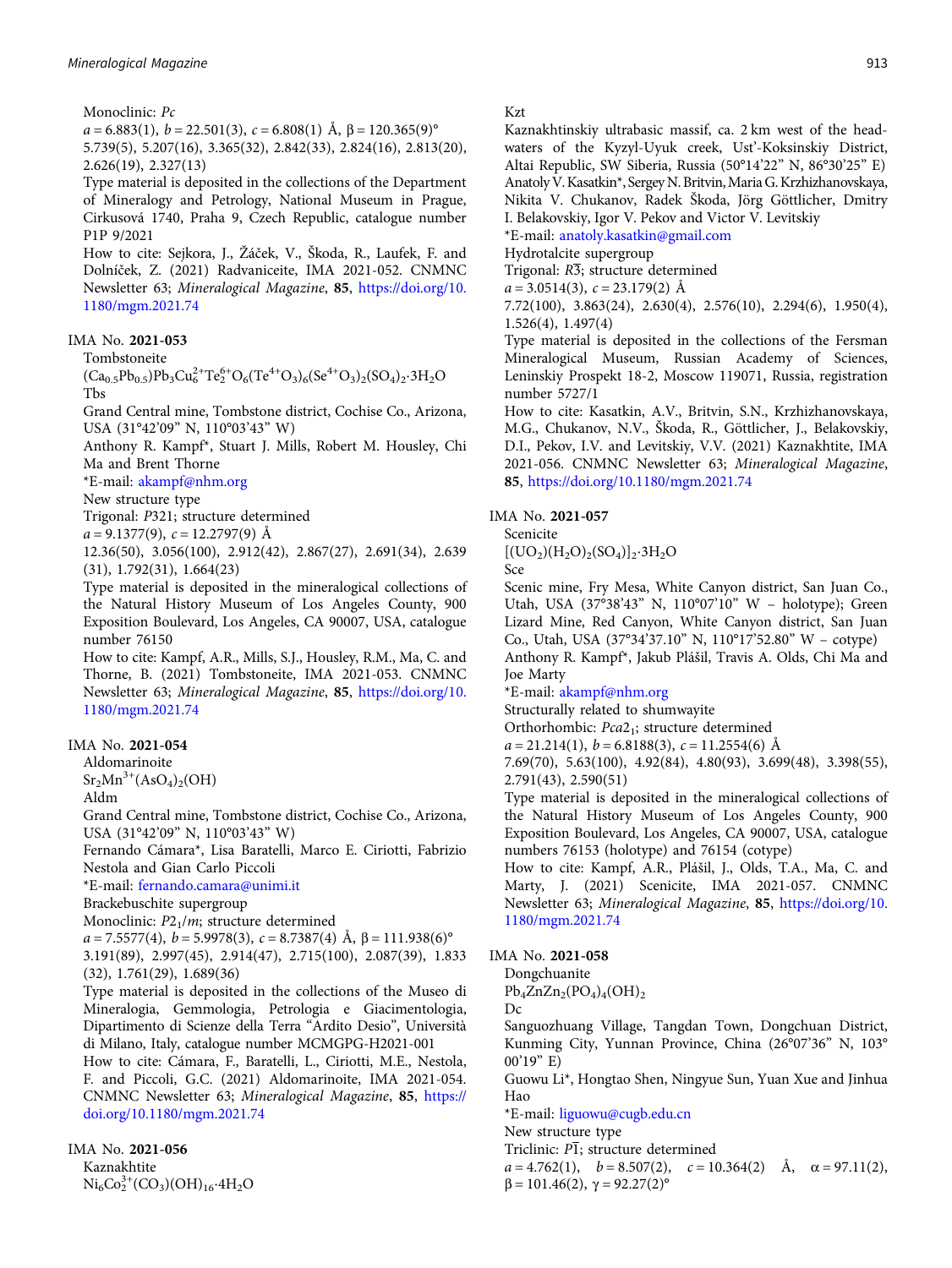Monoclinic: Pc

 $a = 6.883(1), b = 22.501(3), c = 6.808(1)$  Å,  $\beta = 120.365(9)$ ° 5.739(5), 5.207(16), 3.365(32), 2.842(33), 2.824(16), 2.813(20), 2.626(19), 2.327(13)

Type material is deposited in the collections of the Department of Mineralogy and Petrology, National Museum in Prague, Cirkusová 1740, Praha 9, Czech Republic, catalogue number P1P 9/2021

How to cite: Sejkora, J., Žáček, V., Škoda, R., Laufek, F. and Dolníček, Z. (2021) Radvaniceite, IMA 2021-052. CNMNC Newsletter 63; Mineralogical Magazine, <sup>85</sup>, [https://doi.org/10.](https://doi.org/10.1180/mgm.2021.74) [1180/mgm.2021.74](https://doi.org/10.1180/mgm.2021.74)

#### IMA No. 2021-053

Tombstoneite

 $(Ca_{0.5}Pb_{0.5})Pb_3Cu_6^{2+}Te_2^{6+}O_6(Te^{4+}O_3)_6(Se^{4+}O_3)_2(SO_4)_2.3H_2O$ Tbs

Grand Central mine, Tombstone district, Cochise Co., Arizona, USA (31°42'09" N, 110°03'43" W)

Anthony R. Kampf\*, Stuart J. Mills, Robert M. Housley, Chi Ma and Brent Thorne

\*E-mail: [akampf@nhm.org](mailto:akampf@nhm.org)

New structure type

Trigonal: P321; structure determined

 $a = 9.1377(9), c = 12.2797(9)$  Å

12.36(50), 3.056(100), 2.912(42), 2.867(27), 2.691(34), 2.639 (31), 1.792(31), 1.664(23)

Type material is deposited in the mineralogical collections of the Natural History Museum of Los Angeles County, 900 Exposition Boulevard, Los Angeles, CA 90007, USA, catalogue number 76150

How to cite: Kampf, A.R., Mills, S.J., Housley, R.M., Ma, C. and Thorne, B. (2021) Tombstoneite, IMA 2021-053. CNMNC Newsletter 63; Mineralogical Magazine, <sup>85</sup>, [https://doi.org/10.](https://doi.org/10.1180/mgm.2021.74) [1180/mgm.2021.74](https://doi.org/10.1180/mgm.2021.74)

#### IMA No. 2021-054

Aldomarinoite

 $Sr<sub>2</sub>Mn<sup>3+</sup>(AsO<sub>4</sub>)<sub>2</sub>(OH)$ 

Aldm

Grand Central mine, Tombstone district, Cochise Co., Arizona, USA (31°42'09" N, 110°03'43" W)

Fernando Cámara\*, Lisa Baratelli, Marco E. Ciriotti, Fabrizio Nestola and Gian Carlo Piccoli

\*E-mail: [fernando.camara@unimi.it](mailto:fernando.camara@unimi.it)

Brackebuschite supergroup

Monoclinic:  $P2_1/m$ ; structure determined

 $a = 7.5577(4), b = 5.9978(3), c = 8.7387(4)$  Å,  $\beta = 111.938(6)$ ° 3.191(89), 2.997(45), 2.914(47), 2.715(100), 2.087(39), 1.833

(32), 1.761(29), 1.689(36)

Type material is deposited in the collections of the Museo di Mineralogia, Gemmologia, Petrologia e Giacimentologia, Dipartimento di Scienze della Terra "Ardito Desio", Università di Milano, Italy, catalogue number MCMGPG-H2021-001

How to cite: Cámara, F., Baratelli, L., Ciriotti, M.E., Nestola, F. and Piccoli, G.C. (2021) Aldomarinoite, IMA 2021-054. CNMNC Newsletter 63; Mineralogical Magazine, <sup>85</sup>, [https://](https://doi.org/10.1180/mgm.2021.74) [doi.org/10.1180/mgm.2021.74](https://doi.org/10.1180/mgm.2021.74)

IMA No. 2021-056 Kaznakhtite  $\text{Ni}_6\text{Co}_2^{3+}(\text{CO}_3)(\text{OH})_{16}\cdot4\text{H}_2\text{O}$ 

#### Kzt

Kaznakhtinskiy ultrabasic massif, ca. 2 km west of the headwaters of the Kyzyl-Uyuk creek, Ust'-Koksinskiy District, Altai Republic, SW Siberia, Russia (50°14'22" N, 86°30'25" E) AnatolyV. Kasatkin\*, Sergey N. Britvin,Maria G. Krzhizhanovskaya, Nikita V. Chukanov, Radek Škoda, Jörg Göttlicher, Dmitry I. Belakovskiy, Igor V. Pekov and Victor V. Levitskiy

\*E-mail: [anatoly.kasatkin@gmail.com](mailto:anatoly.kasatkin@gmail.com)

Hydrotalcite supergroup

Trigonal:  $R\overline{3}$ ; structure determined

 $a = 3.0514(3), c = 23.179(2)$  Å

7.72(100), 3.863(24), 2.630(4), 2.576(10), 2.294(6), 1.950(4), 1.526(4), 1.497(4)

Type material is deposited in the collections of the Fersman Mineralogical Museum, Russian Academy of Sciences, Leninskiy Prospekt 18-2, Moscow 119071, Russia, registration number 5727/1

How to cite: Kasatkin, A.V., Britvin, S.N., Krzhizhanovskaya, M.G., Chukanov, N.V., Škoda, R., Göttlicher, J., Belakovskiy, D.I., Pekov, I.V. and Levitskiy, V.V. (2021) Kaznakhtite, IMA 2021-056. CNMNC Newsletter 63; Mineralogical Magazine, 85, <https://doi.org/10.1180/mgm.2021.74>

#### IMA No. 2021-057

Scenicite

 $[(UO<sub>2</sub>)(H<sub>2</sub>O)<sub>2</sub>(SO<sub>4</sub>)]<sub>2</sub>·3H<sub>2</sub>O$ 

Sce

Scenic mine, Fry Mesa, White Canyon district, San Juan Co., Utah, USA (37°38'43" N, 110°07'10" W – holotype); Green Lizard Mine, Red Canyon, White Canyon district, San Juan Co., Utah, USA (37°34'37.10" N, 110°17'52.80" W – cotype) Anthony R. Kampf\*, Jakub Plášil, Travis A. Olds, Chi Ma and Joe Marty

\*E-mail: [akampf@nhm.org](mailto:akampf@nhm.org)

Structurally related to shumwayite

Orthorhombic: Pca2<sub>1</sub>; structure determined

 $a = 21.214(1), b = 6.8188(3), c = 11.2554(6)$  Å

7.69(70), 5.63(100), 4.92(84), 4.80(93), 3.699(48), 3.398(55), 2.791(43), 2.590(51)

Type material is deposited in the mineralogical collections of the Natural History Museum of Los Angeles County, 900 Exposition Boulevard, Los Angeles, CA 90007, USA, catalogue numbers 76153 (holotype) and 76154 (cotype)

How to cite: Kampf, A.R., Plášil, J., Olds, T.A., Ma, C. and Marty, J. (2021) Scenicite, IMA 2021-057. CNMNC Newsletter 63; Mineralogical Magazine, <sup>85</sup>, [https://doi.org/10.](https://doi.org/10.1180/mgm.2021.74) [1180/mgm.2021.74](https://doi.org/10.1180/mgm.2021.74)

IMA No. 2021-058

Dongchuanite  $Pb_4ZnZn_2(PO_4)_4(OH)_2$ 

Dc

Sanguozhuang Village, Tangdan Town, Dongchuan District, Kunming City, Yunnan Province, China (26°07'36" N, 103° 00'19" E)

Guowu Li\*, Hongtao Shen, Ningyue Sun, Yuan Xue and Jinhua Hao

\*E-mail: [liguowu@cugb.edu.cn](mailto:liguowu@cugb.edu.cn)

New structure type

Triclinic:  $\overline{PI}$ ; structure determined

 $a = 4.762(1)$ ,  $b = 8.507(2)$ ,  $c = 10.364(2)$  Å,  $\alpha = 97.11(2)$ ,  $β = 101.46(2), γ = 92.27(2)°$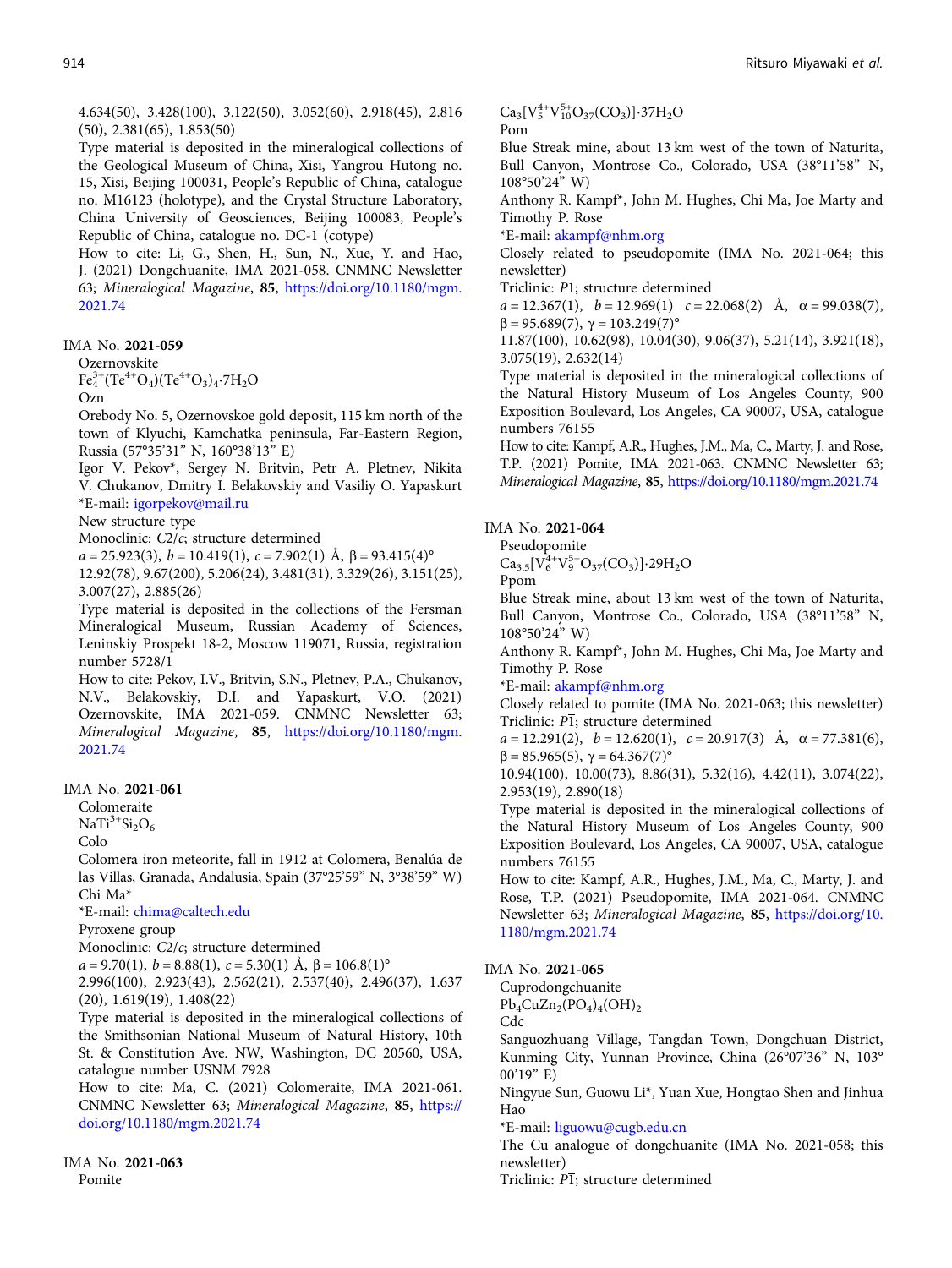4.634(50), 3.428(100), 3.122(50), 3.052(60), 2.918(45), 2.816 (50), 2.381(65), 1.853(50)

Type material is deposited in the mineralogical collections of the Geological Museum of China, Xisi, Yangrou Hutong no. 15, Xisi, Beijing 100031, People's Republic of China, catalogue no. M16123 (holotype), and the Crystal Structure Laboratory, China University of Geosciences, Beijing 100083, People's Republic of China, catalogue no. DC-1 (cotype)

How to cite: Li, G., Shen, H., Sun, N., Xue, Y. and Hao, J. (2021) Dongchuanite, IMA 2021-058. CNMNC Newsletter 63; Mineralogical Magazine, <sup>85</sup>, [https://doi.org/10.1180/mgm.](https://doi.org/10.1180/mgm.2021.74) [2021.74](https://doi.org/10.1180/mgm.2021.74)

IMA No. 2021-059

Ozernovskite  $\text{Fe}_4^{3+}(\text{Te}^{4+}\text{O}_4)(\text{Te}^{4+}\text{O}_3)_4.\text{7H}_2\text{O}$ 

Ozn

Orebody No. 5, Ozernovskoe gold deposit, 115 km north of the town of Klyuchi, Kamchatka peninsula, Far-Eastern Region, Russia (57°35'31" N, 160°38'13" E)

Igor V. Pekov\*, Sergey N. Britvin, Petr A. Pletnev, Nikita V. Chukanov, Dmitry I. Belakovskiy and Vasiliy O. Yapaskurt \*E-mail: [igorpekov@mail.ru](mailto:igorpekov@mail.ru)

New structure type

Monoclinic: C2/c; structure determined

 $a = 25.923(3), b = 10.419(1), c = 7.902(1)$  Å,  $\beta = 93.415(4)$ °

12.92(78), 9.67(200), 5.206(24), 3.481(31), 3.329(26), 3.151(25), 3.007(27), 2.885(26)

Type material is deposited in the collections of the Fersman Mineralogical Museum, Russian Academy of Sciences, Leninskiy Prospekt 18-2, Moscow 119071, Russia, registration number 5728/1

How to cite: Pekov, I.V., Britvin, S.N., Pletnev, P.A., Chukanov, N.V., Belakovskiy, D.I. and Yapaskurt, V.O. (2021) Ozernovskite, IMA 2021-059. CNMNC Newsletter 63; Mineralogical Magazine, <sup>85</sup>, [https://doi.org/10.1180/mgm.](https://doi.org/10.1180/mgm.2021.74) [2021.74](https://doi.org/10.1180/mgm.2021.74)

#### IMA No. 2021-061

Colomeraite

 $NaTi<sup>3+</sup>Si<sub>2</sub>O<sub>6</sub>$ 

Colo

Colomera iron meteorite, fall in 1912 at Colomera, Benalúa de las Villas, Granada, Andalusia, Spain (37°25'59" N, 3°38'59" W) Chi Ma\*

\*E-mail: [chima@caltech.edu](mailto:chima@caltech.edu)

Pyroxene group

Monoclinic: C2/c; structure determined

 $a = 9.70(1), b = 8.88(1), c = 5.30(1)$  Å,  $\beta = 106.8(1)$ °

2.996(100), 2.923(43), 2.562(21), 2.537(40), 2.496(37), 1.637 (20), 1.619(19), 1.408(22)

Type material is deposited in the mineralogical collections of the Smithsonian National Museum of Natural History, 10th St. & Constitution Ave. NW, Washington, DC 20560, USA, catalogue number USNM 7928

How to cite: Ma, C. (2021) Colomeraite, IMA 2021-061. CNMNC Newsletter 63; Mineralogical Magazine, <sup>85</sup>, [https://](https://doi.org/10.1180/mgm.2021.74) [doi.org/10.1180/mgm.2021.74](https://doi.org/10.1180/mgm.2021.74)

IMA No. 2021-063 Pomite

 $Ca_3[V_5^{4+}V_{10}^{5+}O_{37}(CO_3)]\cdot 37H_2O$ Pom

Blue Streak mine, about 13 km west of the town of Naturita, Bull Canyon, Montrose Co., Colorado, USA (38°11'58" N, 108°50'24" W)

Anthony R. Kampf\*, John M. Hughes, Chi Ma, Joe Marty and Timothy P. Rose

\*E-mail: [akampf@nhm.org](mailto:akampf@nhm.org)

Closely related to pseudopomite (IMA No. 2021-064; this newsletter)

Triclinic:  $P\overline{1}$ ; structure determined

 $a = 12.367(1)$ ,  $b = 12.969(1)$   $c = 22.068(2)$  Å,  $\alpha = 99.038(7)$ ,  $β = 95.689(7), γ = 103.249(7)°$ 

11.87(100), 10.62(98), 10.04(30), 9.06(37), 5.21(14), 3.921(18), 3.075(19), 2.632(14)

Type material is deposited in the mineralogical collections of the Natural History Museum of Los Angeles County, 900 Exposition Boulevard, Los Angeles, CA 90007, USA, catalogue numbers 76155

How to cite: Kampf, A.R., Hughes, J.M., Ma, C., Marty, J. and Rose, T.P. (2021) Pomite, IMA 2021-063. CNMNC Newsletter 63; Mineralogical Magazine, <sup>85</sup>, <https://doi.org/10.1180/mgm.2021.74>

#### IMA No. 2021-064

Pseudopomite

 $Ca_{3.5}[\overline{V}_6^{4+}V_9^{5+}O_{37}(CO_3)]\cdot 29H_2O$ Ppom

Blue Streak mine, about 13 km west of the town of Naturita, Bull Canyon, Montrose Co., Colorado, USA (38°11'58" N, 108°50'24" W)

Anthony R. Kampf\*, John M. Hughes, Chi Ma, Joe Marty and Timothy P. Rose

\*E-mail: [akampf@nhm.org](mailto:akampf@nhm.org)

Closely related to pomite (IMA No. 2021-063; this newsletter) Triclinic: <sup>P</sup>1; structure determined

 $a = 12.291(2)$ ,  $b = 12.620(1)$ ,  $c = 20.917(3)$  Å,  $\alpha = 77.381(6)$ ,  $β = 85.965(5), γ = 64.367(7)°$ 

10.94(100), 10.00(73), 8.86(31), 5.32(16), 4.42(11), 3.074(22), 2.953(19), 2.890(18)

Type material is deposited in the mineralogical collections of the Natural History Museum of Los Angeles County, 900 Exposition Boulevard, Los Angeles, CA 90007, USA, catalogue numbers 76155

How to cite: Kampf, A.R., Hughes, J.M., Ma, C., Marty, J. and Rose, T.P. (2021) Pseudopomite, IMA 2021-064. CNMNC Newsletter 63; Mineralogical Magazine, <sup>85</sup>, [https://doi.org/10.](https://doi.org/10.1180/mgm.2021.74) [1180/mgm.2021.74](https://doi.org/10.1180/mgm.2021.74)

#### IMA No. 2021-065

Cuprodongchuanite

 $Pb_4CuZn_2(PO_4)_4(OH)_2$ 

Cdc

Sanguozhuang Village, Tangdan Town, Dongchuan District, Kunming City, Yunnan Province, China (26°07'36" N, 103° 00'19" E)

Ningyue Sun, Guowu Li\*, Yuan Xue, Hongtao Shen and Jinhua Hao

\*E-mail: [liguowu@cugb.edu.cn](mailto:liguowu@cugb.edu.cn)

The Cu analogue of dongchuanite (IMA No. 2021-058; this newsletter)

Triclinic:  $\overline{PI}$ ; structure determined